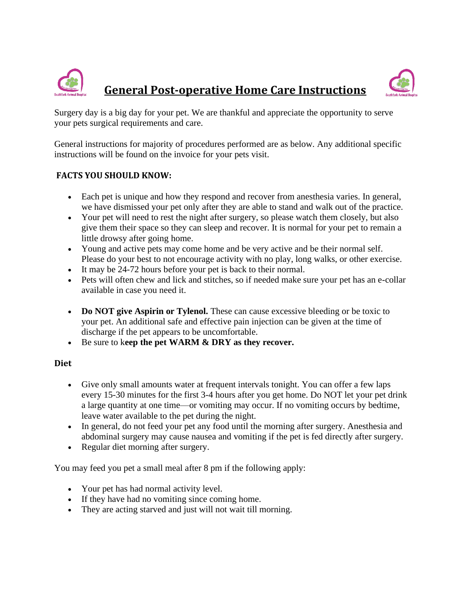



Surgery day is a big day for your pet. We are thankful and appreciate the opportunity to serve your pets surgical requirements and care.

General instructions for majority of procedures performed are as below. Any additional specific instructions will be found on the invoice for your pets visit.

#### **FACTS YOU SHOULD KNOW:**

- Each pet is unique and how they respond and recover from anesthesia varies. In general, we have dismissed your pet only after they are able to stand and walk out of the practice.
- Your pet will need to rest the night after surgery, so please watch them closely, but also give them their space so they can sleep and recover. It is normal for your pet to remain a little drowsy after going home.
- Young and active pets may come home and be very active and be their normal self. Please do your best to not encourage activity with no play, long walks, or other exercise.
- It may be 24-72 hours before your pet is back to their normal.
- Pets will often chew and lick and stitches, so if needed make sure your pet has an e-collar available in case you need it.
- **Do NOT give Aspirin or Tylenol.** These can cause excessive bleeding or be toxic to your pet. An additional safe and effective pain injection can be given at the time of discharge if the pet appears to be uncomfortable.
- Be sure to k**eep the pet WARM & DRY as they recover.**

#### **Diet**

- Give only small amounts water at frequent intervals tonight. You can offer a few laps every 15-30 minutes for the first 3-4 hours after you get home. Do NOT let your pet drink a large quantity at one time—or vomiting may occur. If no vomiting occurs by bedtime, leave water available to the pet during the night.
- In general, do not feed your pet any food until the morning after surgery. Anesthesia and abdominal surgery may cause nausea and vomiting if the pet is fed directly after surgery.
- Regular diet morning after surgery.

You may feed you pet a small meal after 8 pm if the following apply:

- Your pet has had normal activity level.
- If they have had no vomiting since coming home.
- They are acting starved and just will not wait till morning.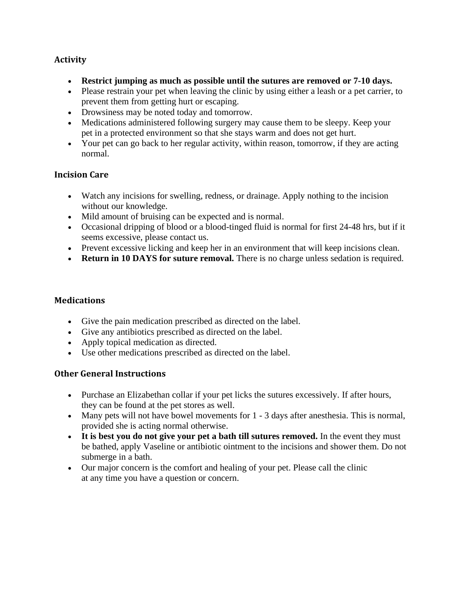#### **Activity**

- **Restrict jumping as much as possible until the sutures are removed or 7-10 days.**
- Please restrain your pet when leaving the clinic by using either a leash or a pet carrier, to prevent them from getting hurt or escaping.
- Drowsiness may be noted today and tomorrow.
- Medications administered following surgery may cause them to be sleepy. Keep your pet in a protected environment so that she stays warm and does not get hurt.
- Your pet can go back to her regular activity, within reason, tomorrow, if they are acting normal.

#### **Incision Care**

- Watch any incisions for swelling, redness, or drainage. Apply nothing to the incision without our knowledge.
- Mild amount of bruising can be expected and is normal.
- Occasional dripping of blood or a blood-tinged fluid is normal for first 24-48 hrs, but if it seems excessive, please contact us.
- Prevent excessive licking and keep her in an environment that will keep incisions clean.
- **Return in 10 DAYS for suture removal.** There is no charge unless sedation is required.

#### **Medications**

- Give the pain medication prescribed as directed on the label.
- Give any antibiotics prescribed as directed on the label.
- Apply topical medication as directed.
- Use other medications prescribed as directed on the label.

#### **Other General Instructions**

- Purchase an Elizabethan collar if your pet licks the sutures excessively. If after hours, they can be found at the pet stores as well.
- Many pets will not have bowel movements for 1 3 days after anesthesia. This is normal, provided she is acting normal otherwise.
- **It is best you do not give your pet a bath till sutures removed.** In the event they must be bathed, apply Vaseline or antibiotic ointment to the incisions and shower them. Do not submerge in a bath.
- Our major concern is the comfort and healing of your pet. Please call the clinic at any time you have a question or concern.